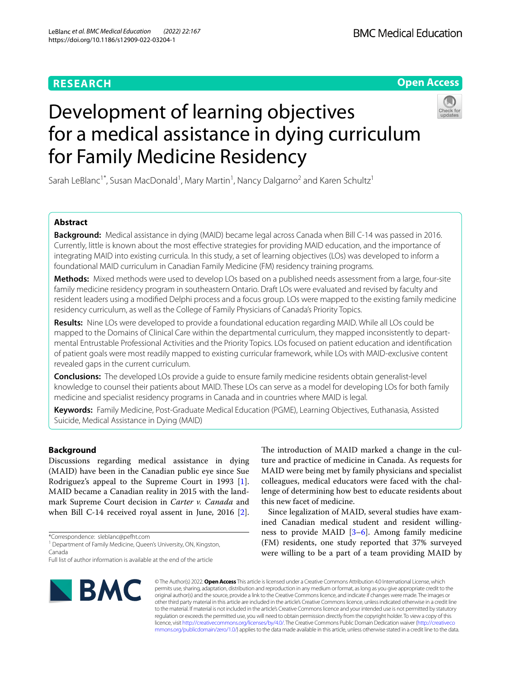# **RESEARCH**

# **Open Access**



# Development of learning objectives for a medical assistance in dying curriculum for Family Medicine Residency

Sarah LeBlanc<sup>1\*</sup>, Susan MacDonald<sup>1</sup>, Mary Martin<sup>1</sup>, Nancy Dalgarno<sup>2</sup> and Karen Schultz<sup>1</sup>

# **Abstract**

**Background:** Medical assistance in dying (MAID) became legal across Canada when Bill C-14 was passed in 2016. Currently, little is known about the most efective strategies for providing MAID education, and the importance of integrating MAID into existing curricula. In this study, a set of learning objectives (LOs) was developed to inform a foundational MAID curriculum in Canadian Family Medicine (FM) residency training programs.

**Methods:** Mixed methods were used to develop LOs based on a published needs assessment from a large, four-site family medicine residency program in southeastern Ontario. Draft LOs were evaluated and revised by faculty and resident leaders using a modifed Delphi process and a focus group. LOs were mapped to the existing family medicine residency curriculum, as well as the College of Family Physicians of Canada's Priority Topics.

**Results:** Nine LOs were developed to provide a foundational education regarding MAID. While all LOs could be mapped to the Domains of Clinical Care within the departmental curriculum, they mapped inconsistently to departmental Entrustable Professional Activities and the Priority Topics. LOs focused on patient education and identifcation of patient goals were most readily mapped to existing curricular framework, while LOs with MAID-exclusive content revealed gaps in the current curriculum.

**Conclusions:** The developed LOs provide a guide to ensure family medicine residents obtain generalist-level knowledge to counsel their patients about MAID. These LOs can serve as a model for developing LOs for both family medicine and specialist residency programs in Canada and in countries where MAID is legal.

**Keywords:** Family Medicine, Post-Graduate Medical Education (PGME), Learning Objectives, Euthanasia, Assisted Suicide, Medical Assistance in Dying (MAID)

# **Background**

Discussions regarding medical assistance in dying (MAID) have been in the Canadian public eye since Sue Rodriguez's appeal to the Supreme Court in 1993 [\[1](#page-4-0)]. MAID became a Canadian reality in 2015 with the landmark Supreme Court decision in *Carter v. Canada* and when Bill C-14 received royal assent in June, 2016 [\[2](#page-4-1)].

\*Correspondence: sleblanc@pefht.com

<sup>1</sup> Department of Family Medicine, Queen's University, ON, Kingston, Canada

Full list of author information is available at the end of the article



The introduction of MAID marked a change in the culture and practice of medicine in Canada. As requests for MAID were being met by family physicians and specialist colleagues, medical educators were faced with the challenge of determining how best to educate residents about this new facet of medicine.

Since legalization of MAID, several studies have examined Canadian medical student and resident willingness to provide MAID  $[3-6]$  $[3-6]$  $[3-6]$ . Among family medicine (FM) residents, one study reported that 37% surveyed were willing to be a part of a team providing MAID by

© The Author(s) 2022. **Open Access** This article is licensed under a Creative Commons Attribution 4.0 International License, which permits use, sharing, adaptation, distribution and reproduction in any medium or format, as long as you give appropriate credit to the original author(s) and the source, provide a link to the Creative Commons licence, and indicate if changes were made. The images or other third party material in this article are included in the article's Creative Commons licence, unless indicated otherwise in a credit line to the material. If material is not included in the article's Creative Commons licence and your intended use is not permitted by statutory regulation or exceeds the permitted use, you will need to obtain permission directly from the copyright holder. To view a copy of this licence, visit [http://creativecommons.org/licenses/by/4.0/.](http://creativecommons.org/licenses/by/4.0/) The Creative Commons Public Domain Dedication waiver ([http://creativeco](http://creativecommons.org/publicdomain/zero/1.0/) [mmons.org/publicdomain/zero/1.0/](http://creativecommons.org/publicdomain/zero/1.0/)) applies to the data made available in this article, unless otherwise stated in a credit line to the data.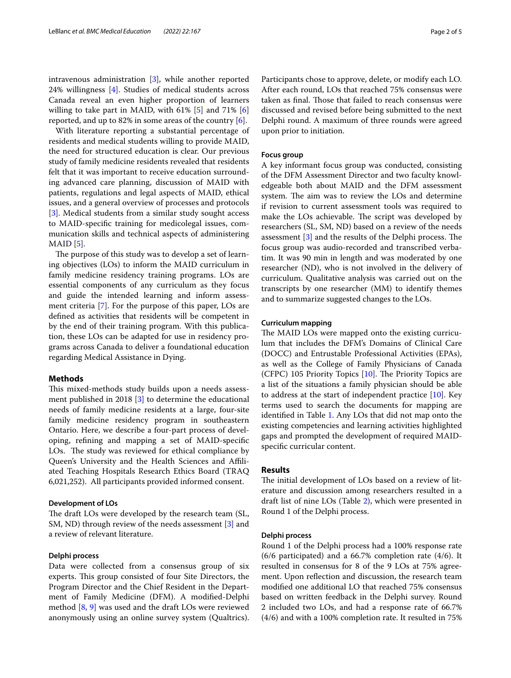intravenous administration [\[3](#page-4-2)], while another reported 24% willingness [[4\]](#page-4-4). Studies of medical students across Canada reveal an even higher proportion of learners willing to take part in MAID, with 61% [\[5\]](#page-4-5) and 71% [\[6](#page-4-3)] reported, and up to 82% in some areas of the country [[6\]](#page-4-3).

With literature reporting a substantial percentage of residents and medical students willing to provide MAID, the need for structured education is clear. Our previous study of family medicine residents revealed that residents felt that it was important to receive education surrounding advanced care planning, discussion of MAID with patients, regulations and legal aspects of MAID, ethical issues, and a general overview of processes and protocols [[3\]](#page-4-2). Medical students from a similar study sought access to MAID-specifc training for medicolegal issues, communication skills and technical aspects of administering  $MAID [5]$  $MAID [5]$  $MAID [5]$ .

The purpose of this study was to develop a set of learning objectives (LOs) to inform the MAID curriculum in family medicine residency training programs. LOs are essential components of any curriculum as they focus and guide the intended learning and inform assessment criteria [\[7\]](#page-4-6). For the purpose of this paper, LOs are defned as activities that residents will be competent in by the end of their training program. With this publication, these LOs can be adapted for use in residency programs across Canada to deliver a foundational education regarding Medical Assistance in Dying.

# **Methods**

This mixed-methods study builds upon a needs assessment published in 2018 [\[3](#page-4-2)] to determine the educational needs of family medicine residents at a large, four-site family medicine residency program in southeastern Ontario. Here, we describe a four-part process of developing, refning and mapping a set of MAID-specifc LOs. The study was reviewed for ethical compliance by Queen's University and the Health Sciences and Afliated Teaching Hospitals Research Ethics Board (TRAQ 6,021,252). All participants provided informed consent.

# **Development of LOs**

The draft LOs were developed by the research team (SL, SM, ND) through review of the needs assessment [[3\]](#page-4-2) and a review of relevant literature.

# **Delphi process**

Data were collected from a consensus group of six experts. This group consisted of four Site Directors, the Program Director and the Chief Resident in the Department of Family Medicine (DFM). A modifed-Delphi method [[8](#page-4-7), [9](#page-4-8)] was used and the draft LOs were reviewed anonymously using an online survey system (Qualtrics). Participants chose to approve, delete, or modify each LO. After each round, LOs that reached 75% consensus were taken as final. Those that failed to reach consensus were discussed and revised before being submitted to the next Delphi round. A maximum of three rounds were agreed upon prior to initiation.

# **Focus group**

A key informant focus group was conducted, consisting of the DFM Assessment Director and two faculty knowledgeable both about MAID and the DFM assessment system. The aim was to review the LOs and determine if revision to current assessment tools was required to make the LOs achievable. The script was developed by researchers (SL, SM, ND) based on a review of the needs assessment  $[3]$  $[3]$  and the results of the Delphi process. The focus group was audio-recorded and transcribed verbatim. It was 90 min in length and was moderated by one researcher (ND), who is not involved in the delivery of curriculum. Qualitative analysis was carried out on the transcripts by one researcher (MM) to identify themes and to summarize suggested changes to the LOs.

# **Curriculum mapping**

The MAID LOs were mapped onto the existing curriculum that includes the DFM's Domains of Clinical Care (DOCC) and Entrustable Professional Activities (EPAs), as well as the College of Family Physicians of Canada (CFPC) [10](#page-4-9)5 Priority Topics  $[10]$ . The Priority Topics are a list of the situations a family physician should be able to address at the start of independent practice  $[10]$  $[10]$ . Key terms used to search the documents for mapping are identifed in Table [1](#page-2-0). Any LOs that did not map onto the existing competencies and learning activities highlighted gaps and prompted the development of required MAIDspecifc curricular content.

# **Results**

The initial development of LOs based on a review of literature and discussion among researchers resulted in a draft list of nine LOs (Table [2](#page-2-1)), which were presented in Round 1 of the Delphi process.

# **Delphi process**

Round 1 of the Delphi process had a 100% response rate (6/6 participated) and a 66.7% completion rate (4/6). It resulted in consensus for 8 of the 9 LOs at 75% agreement. Upon refection and discussion, the research team modifed one additional LO that reached 75% consensus based on written feedback in the Delphi survey. Round 2 included two LOs, and had a response rate of 66.7% (4/6) and with a 100% completion rate. It resulted in 75%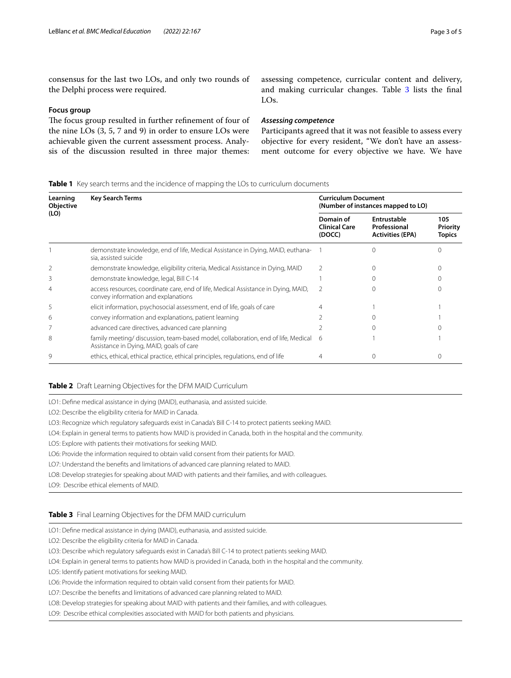consensus for the last two LOs, and only two rounds of the Delphi process were required.

# **Focus group**

The focus group resulted in further refinement of four of the nine LOs (3, 5, 7 and 9) in order to ensure LOs were achievable given the current assessment process. Analysis of the discussion resulted in three major themes: assessing competence, curricular content and delivery, and making curricular changes. Table [3](#page-2-2) lists the final LOs.

# *Assessing competence*

Participants agreed that it was not feasible to assess every objective for every resident, "We don't have an assessment outcome for every objective we have. We have

<span id="page-2-0"></span>**Table 1** Key search terms and the incidence of mapping the LOs to curriculum documents

| Learning<br><b>Objective</b><br>(LO) | <b>Key Search Terms</b>                                                                                                       | <b>Curriculum Document</b><br>(Number of instances mapped to LO) |                                                        |                                  |
|--------------------------------------|-------------------------------------------------------------------------------------------------------------------------------|------------------------------------------------------------------|--------------------------------------------------------|----------------------------------|
|                                      |                                                                                                                               | Domain of<br><b>Clinical Care</b><br>(DOCC)                      | Entrustable<br>Professional<br><b>Activities (EPA)</b> | 105<br>Priority<br><b>Topics</b> |
|                                      | demonstrate knowledge, end of life, Medical Assistance in Dying, MAID, euthana-<br>sia, assisted suicide                      |                                                                  |                                                        |                                  |
|                                      | demonstrate knowledge, eligibility criteria, Medical Assistance in Dying, MAID                                                |                                                                  |                                                        |                                  |
| 3                                    | demonstrate knowledge, legal, Bill C-14                                                                                       |                                                                  |                                                        |                                  |
| 4                                    | access resources, coordinate care, end of life, Medical Assistance in Dying, MAID,<br>convey information and explanations     | $\mathcal{P}$                                                    |                                                        |                                  |
| 5                                    | elicit information, psychosocial assessment, end of life, goals of care                                                       |                                                                  |                                                        |                                  |
| 6                                    | convey information and explanations, patient learning                                                                         |                                                                  |                                                        |                                  |
|                                      | advanced care directives, advanced care planning                                                                              |                                                                  |                                                        |                                  |
| 8                                    | family meeting/ discussion, team-based model, collaboration, end of life, Medical<br>Assistance in Dying, MAID, goals of care | 6                                                                |                                                        |                                  |
| 9                                    | ethics, ethical, ethical practice, ethical principles, regulations, end of life                                               |                                                                  |                                                        |                                  |

# <span id="page-2-1"></span>**Table 2** Draft Learning Objectives for the DFM MAID Curriculum

LO1: Defne medical assistance in dying (MAID), euthanasia, and assisted suicide.

LO2: Describe the eligibility criteria for MAID in Canada.

LO3: Recognize which regulatory safeguards exist in Canada's Bill C-14 to protect patients seeking MAID.

LO4: Explain in general terms to patients how MAID is provided in Canada, both in the hospital and the community.

LO5: Explore with patients their motivations for seeking MAID.

LO6: Provide the information required to obtain valid consent from their patients for MAID.

LO7: Understand the benefts and limitations of advanced care planning related to MAID.

LO8: Develop strategies for speaking about MAID with patients and their families, and with colleagues.

LO9: Describe ethical elements of MAID.

# <span id="page-2-2"></span>**Table 3** Final Learning Objectives for the DFM MAID curriculum

LO1: Defne medical assistance in dying (MAID), euthanasia, and assisted suicide.

LO2: Describe the eligibility criteria for MAID in Canada.

LO3: Describe which regulatory safeguards exist in Canada's Bill C-14 to protect patients seeking MAID.

LO4: Explain in general terms to patients how MAID is provided in Canada, both in the hospital and the community.

LO5: Identify patient motivations for seeking MAID.

LO6: Provide the information required to obtain valid consent from their patients for MAID.

LO7: Describe the benefts and limitations of advanced care planning related to MAID.

LO8: Develop strategies for speaking about MAID with patients and their families, and with colleagues.

LO9: Describe ethical complexities associated with MAID for both patients and physicians.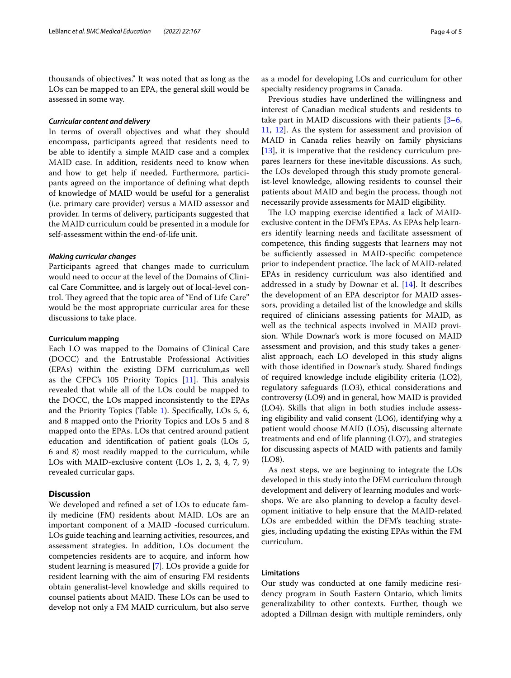thousands of objectives." It was noted that as long as the LOs can be mapped to an EPA, the general skill would be assessed in some way.

# *Curricular content and delivery*

In terms of overall objectives and what they should encompass, participants agreed that residents need to be able to identify a simple MAID case and a complex MAID case. In addition, residents need to know when and how to get help if needed. Furthermore, participants agreed on the importance of defning what depth of knowledge of MAID would be useful for a generalist (i.e. primary care provider) versus a MAID assessor and provider. In terms of delivery, participants suggested that the MAID curriculum could be presented in a module for self-assessment within the end-of-life unit.

# *Making curricular changes*

Participants agreed that changes made to curriculum would need to occur at the level of the Domains of Clinical Care Committee, and is largely out of local-level control. They agreed that the topic area of "End of Life Care" would be the most appropriate curricular area for these discussions to take place.

## **Curriculum mapping**

Each LO was mapped to the Domains of Clinical Care (DOCC) and the Entrustable Professional Activities (EPAs) within the existing DFM curriculum,as well as the CFPC's  $105$  Priority Topics  $[11]$  $[11]$ . This analysis revealed that while all of the LOs could be mapped to the DOCC, the LOs mapped inconsistently to the EPAs and the Priority Topics (Table [1\)](#page-2-0). Specifcally, LOs 5, 6, and 8 mapped onto the Priority Topics and LOs 5 and 8 mapped onto the EPAs. LOs that centred around patient education and identifcation of patient goals (LOs 5, 6 and 8) most readily mapped to the curriculum, while LOs with MAID-exclusive content (LOs 1, 2, 3, 4, 7, 9) revealed curricular gaps.

# **Discussion**

We developed and refned a set of LOs to educate family medicine (FM) residents about MAID. LOs are an important component of a MAID -focused curriculum. LOs guide teaching and learning activities, resources, and assessment strategies. In addition, LOs document the competencies residents are to acquire, and inform how student learning is measured [[7\]](#page-4-6). LOs provide a guide for resident learning with the aim of ensuring FM residents obtain generalist-level knowledge and skills required to counsel patients about MAID. These LOs can be used to develop not only a FM MAID curriculum, but also serve as a model for developing LOs and curriculum for other specialty residency programs in Canada.

Previous studies have underlined the willingness and interest of Canadian medical students and residents to take part in MAID discussions with their patients [[3–](#page-4-2)[6](#page-4-3), [11,](#page-4-10) [12\]](#page-4-11). As the system for assessment and provision of MAID in Canada relies heavily on family physicians [[13\]](#page-4-12), it is imperative that the residency curriculum prepares learners for these inevitable discussions. As such, the LOs developed through this study promote generalist-level knowledge, allowing residents to counsel their patients about MAID and begin the process, though not necessarily provide assessments for MAID eligibility.

The LO mapping exercise identified a lack of MAIDexclusive content in the DFM's EPAs. As EPAs help learners identify learning needs and facilitate assessment of competence, this fnding suggests that learners may not be sufficiently assessed in MAID-specific competence prior to independent practice. The lack of MAID-related EPAs in residency curriculum was also identifed and addressed in a study by Downar et al. [[14](#page-4-13)]. It describes the development of an EPA descriptor for MAID assessors, providing a detailed list of the knowledge and skills required of clinicians assessing patients for MAID, as well as the technical aspects involved in MAID provision. While Downar's work is more focused on MAID assessment and provision, and this study takes a generalist approach, each LO developed in this study aligns with those identifed in Downar's study. Shared fndings of required knowledge include eligibility criteria (LO2), regulatory safeguards (LO3), ethical considerations and controversy (LO9) and in general, how MAID is provided (LO4). Skills that align in both studies include assessing eligibility and valid consent (LO6), identifying why a patient would choose MAID (LO5), discussing alternate treatments and end of life planning (LO7), and strategies for discussing aspects of MAID with patients and family (LO8).

As next steps, we are beginning to integrate the LOs developed in this study into the DFM curriculum through development and delivery of learning modules and workshops. We are also planning to develop a faculty development initiative to help ensure that the MAID-related LOs are embedded within the DFM's teaching strategies, including updating the existing EPAs within the FM curriculum.

# **Limitations**

Our study was conducted at one family medicine residency program in South Eastern Ontario, which limits generalizability to other contexts. Further, though we adopted a Dillman design with multiple reminders, only